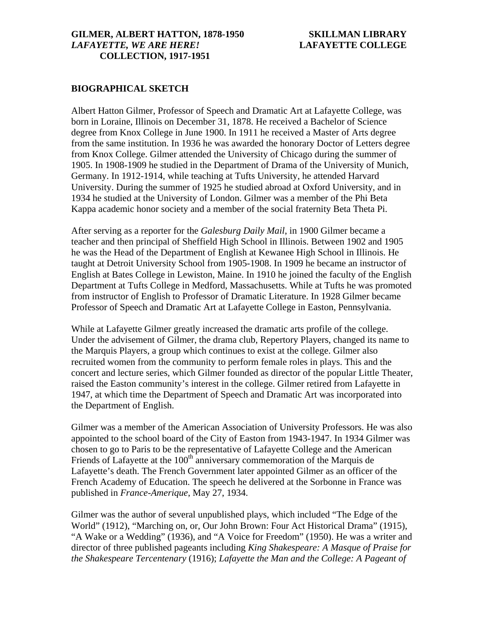## **BIOGRAPHICAL SKETCH**

Albert Hatton Gilmer, Professor of Speech and Dramatic Art at Lafayette College, was born in Loraine, Illinois on December 31, 1878. He received a Bachelor of Science degree from Knox College in June 1900. In 1911 he received a Master of Arts degree from the same institution. In 1936 he was awarded the honorary Doctor of Letters degree from Knox College. Gilmer attended the University of Chicago during the summer of 1905. In 1908-1909 he studied in the Department of Drama of the University of Munich, Germany. In 1912-1914, while teaching at Tufts University, he attended Harvard University. During the summer of 1925 he studied abroad at Oxford University, and in 1934 he studied at the University of London. Gilmer was a member of the Phi Beta Kappa academic honor society and a member of the social fraternity Beta Theta Pi.

After serving as a reporter for the *Galesburg Daily Mail*, in 1900 Gilmer became a teacher and then principal of Sheffield High School in Illinois. Between 1902 and 1905 he was the Head of the Department of English at Kewanee High School in Illinois. He taught at Detroit University School from 1905-1908. In 1909 he became an instructor of English at Bates College in Lewiston, Maine. In 1910 he joined the faculty of the English Department at Tufts College in Medford, Massachusetts. While at Tufts he was promoted from instructor of English to Professor of Dramatic Literature. In 1928 Gilmer became Professor of Speech and Dramatic Art at Lafayette College in Easton, Pennsylvania.

While at Lafayette Gilmer greatly increased the dramatic arts profile of the college. Under the advisement of Gilmer, the drama club, Repertory Players, changed its name to the Marquis Players, a group which continues to exist at the college. Gilmer also recruited women from the community to perform female roles in plays. This and the concert and lecture series, which Gilmer founded as director of the popular Little Theater, raised the Easton community's interest in the college. Gilmer retired from Lafayette in 1947, at which time the Department of Speech and Dramatic Art was incorporated into the Department of English.

Gilmer was a member of the American Association of University Professors. He was also appointed to the school board of the City of Easton from 1943-1947. In 1934 Gilmer was chosen to go to Paris to be the representative of Lafayette College and the American Friends of Lafayette at the  $100<sup>th</sup>$  anniversary commemoration of the Marquis de Lafayette's death. The French Government later appointed Gilmer as an officer of the French Academy of Education. The speech he delivered at the Sorbonne in France was published in *France-Amerique*, May 27, 1934.

Gilmer was the author of several unpublished plays, which included "The Edge of the World" (1912), "Marching on, or, Our John Brown: Four Act Historical Drama" (1915), "A Wake or a Wedding" (1936), and "A Voice for Freedom" (1950). He was a writer and director of three published pageants including *King Shakespeare: A Masque of Praise for the Shakespeare Tercentenary* (1916); *Lafayette the Man and the College: A Pageant of*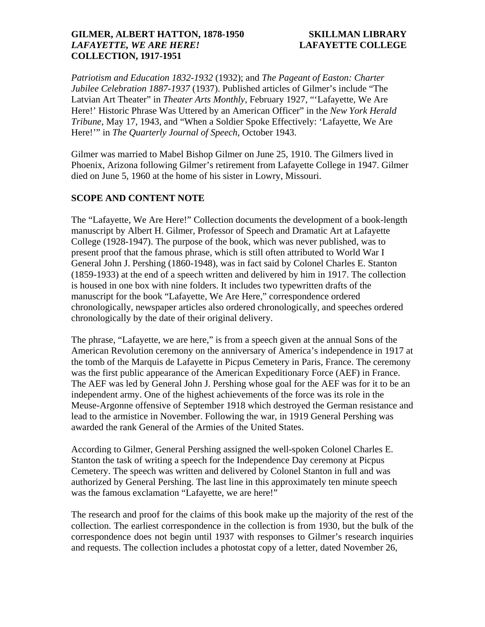## **GILMER, ALBERT HATTON, 1878-1950 SKILLMAN LIBRARY**  *LAFAYETTE, WE ARE HERE!* **LAFAYETTE COLLEGE COLLECTION, 1917-1951**

*Patriotism and Education 1832-1932* (1932); and *The Pageant of Easton: Charter Jubilee Celebration 1887-1937* (1937). Published articles of Gilmer's include "The Latvian Art Theater" in *Theater Arts Monthly*, February 1927, "'Lafayette, We Are Here!' Historic Phrase Was Uttered by an American Officer" in the *New York Herald Tribune*, May 17, 1943, and "When a Soldier Spoke Effectively: 'Lafayette, We Are Here!'" in *The Quarterly Journal of Speech*, October 1943.

Gilmer was married to Mabel Bishop Gilmer on June 25, 1910. The Gilmers lived in Phoenix, Arizona following Gilmer's retirement from Lafayette College in 1947. Gilmer died on June 5, 1960 at the home of his sister in Lowry, Missouri.

# **SCOPE AND CONTENT NOTE**

The "Lafayette, We Are Here!" Collection documents the development of a book-length manuscript by Albert H. Gilmer, Professor of Speech and Dramatic Art at Lafayette College (1928-1947). The purpose of the book, which was never published, was to present proof that the famous phrase, which is still often attributed to World War I General John J. Pershing (1860-1948), was in fact said by Colonel Charles E. Stanton (1859-1933) at the end of a speech written and delivered by him in 1917. The collection is housed in one box with nine folders. It includes two typewritten drafts of the manuscript for the book "Lafayette, We Are Here," correspondence ordered chronologically, newspaper articles also ordered chronologically, and speeches ordered chronologically by the date of their original delivery.

The phrase, "Lafayette, we are here," is from a speech given at the annual Sons of the American Revolution ceremony on the anniversary of America's independence in 1917 at the tomb of the Marquis de Lafayette in Picpus Cemetery in Paris, France. The ceremony was the first public appearance of the American Expeditionary Force (AEF) in France. The AEF was led by General John J. Pershing whose goal for the AEF was for it to be an independent army. One of the highest achievements of the force was its role in the Meuse-Argonne offensive of September 1918 which destroyed the German resistance and lead to the armistice in November. Following the war, in 1919 General Pershing was awarded the rank General of the Armies of the United States.

According to Gilmer, General Pershing assigned the well-spoken Colonel Charles E. Stanton the task of writing a speech for the Independence Day ceremony at Picpus Cemetery. The speech was written and delivered by Colonel Stanton in full and was authorized by General Pershing. The last line in this approximately ten minute speech was the famous exclamation "Lafayette, we are here!"

The research and proof for the claims of this book make up the majority of the rest of the collection. The earliest correspondence in the collection is from 1930, but the bulk of the correspondence does not begin until 1937 with responses to Gilmer's research inquiries and requests. The collection includes a photostat copy of a letter, dated November 26,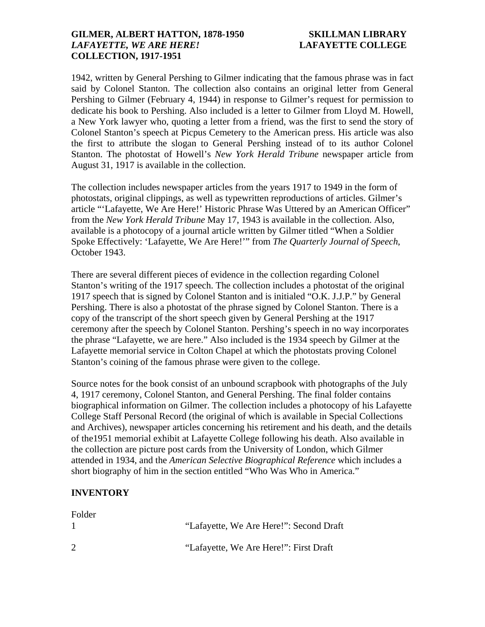## **GILMER, ALBERT HATTON, 1878-1950 SKILLMAN LIBRARY**  *LAFAYETTE, WE ARE HERE!* **LAFAYETTE COLLEGE COLLECTION, 1917-1951**

1942, written by General Pershing to Gilmer indicating that the famous phrase was in fact said by Colonel Stanton. The collection also contains an original letter from General Pershing to Gilmer (February 4, 1944) in response to Gilmer's request for permission to dedicate his book to Pershing. Also included is a letter to Gilmer from Lloyd M. Howell, a New York lawyer who, quoting a letter from a friend, was the first to send the story of Colonel Stanton's speech at Picpus Cemetery to the American press. His article was also the first to attribute the slogan to General Pershing instead of to its author Colonel Stanton. The photostat of Howell's *New York Herald Tribune* newspaper article from August 31, 1917 is available in the collection.

The collection includes newspaper articles from the years 1917 to 1949 in the form of photostats, original clippings, as well as typewritten reproductions of articles. Gilmer's article "'Lafayette, We Are Here!' Historic Phrase Was Uttered by an American Officer" from the *New York Herald Tribune* May 17, 1943 is available in the collection. Also, available is a photocopy of a journal article written by Gilmer titled "When a Soldier Spoke Effectively: 'Lafayette, We Are Here!'" from *The Quarterly Journal of Speech*, October 1943.

There are several different pieces of evidence in the collection regarding Colonel Stanton's writing of the 1917 speech. The collection includes a photostat of the original 1917 speech that is signed by Colonel Stanton and is initialed "O.K. J.J.P." by General Pershing. There is also a photostat of the phrase signed by Colonel Stanton. There is a copy of the transcript of the short speech given by General Pershing at the 1917 ceremony after the speech by Colonel Stanton. Pershing's speech in no way incorporates the phrase "Lafayette, we are here." Also included is the 1934 speech by Gilmer at the Lafayette memorial service in Colton Chapel at which the photostats proving Colonel Stanton's coining of the famous phrase were given to the college.

Source notes for the book consist of an unbound scrapbook with photographs of the July 4, 1917 ceremony, Colonel Stanton, and General Pershing. The final folder contains biographical information on Gilmer. The collection includes a photocopy of his Lafayette College Staff Personal Record (the original of which is available in Special Collections and Archives), newspaper articles concerning his retirement and his death, and the details of the1951 memorial exhibit at Lafayette College following his death. Also available in the collection are picture post cards from the University of London, which Gilmer attended in 1934, and the *American Selective Biographical Reference* which includes a short biography of him in the section entitled "Who Was Who in America."

# **INVENTORY**

| "Lafayette, We Are Here!": Second Draft |
|-----------------------------------------|
|                                         |
| "Lafayette, We Are Here!": First Draft  |
|                                         |